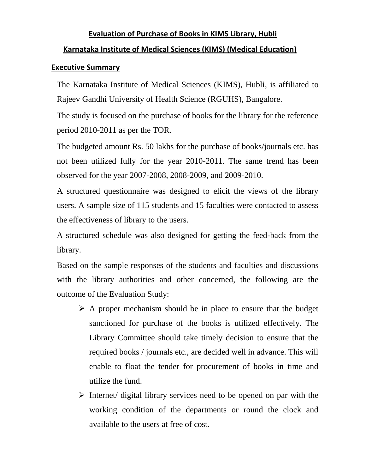### **Evaluation of Purchase of Books in KIMS Library, Hubli**

#### **Karnataka Institute of Medical Sciences (KIMS) (Medical Education)**

#### **Executive Summary**

The Karnataka Institute of Medical Sciences (KIMS), Hubli, is affiliated to Rajeev Gandhi University of Health Science (RGUHS), Bangalore.

The study is focused on the purchase of books for the library for the reference period 2010-2011 as per the TOR.

The budgeted amount Rs. 50 lakhs for the purchase of books/journals etc. has not been utilized fully for the year 2010-2011. The same trend has been observed for the year 2007-2008, 2008-2009, and 2009-2010.

A structured questionnaire was designed to elicit the views of the library users. A sample size of 115 students and 15 faculties were contacted to assess the effectiveness of library to the users.

A structured schedule was also designed for getting the feed-back from the library.

Based on the sample responses of the students and faculties and discussions with the library authorities and other concerned, the following are the outcome of the Evaluation Study:

- $\triangleright$  A proper mechanism should be in place to ensure that the budget sanctioned for purchase of the books is utilized effectively. The Library Committee should take timely decision to ensure that the required books / journals etc., are decided well in advance. This will enable to float the tender for procurement of books in time and utilize the fund.
- $\triangleright$  Internet/ digital library services need to be opened on par with the working condition of the departments or round the clock and available to the users at free of cost.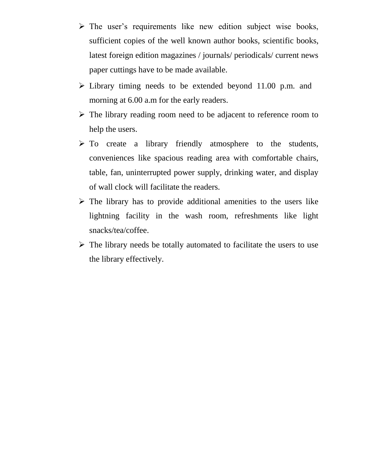- $\triangleright$  The user's requirements like new edition subject wise books, sufficient copies of the well known author books, scientific books, latest foreign edition magazines / journals/ periodicals/ current news paper cuttings have to be made available.
- $\triangleright$  Library timing needs to be extended beyond 11.00 p.m. and morning at  $6.00$  a.m for the early readers.
- $\triangleright$  The library reading room need to be adjacent to reference room to help the users.
- $\triangleright$  To create a library friendly atmosphere to the students, conveniences like spacious reading area with comfortable chairs, table, fan, uninterrupted power supply, drinking water, and display of wall clock will facilitate the readers.
- $\triangleright$  The library has to provide additional amenities to the users like lightning facility in the wash room, refreshments like light snacks/tea/coffee.
- $\triangleright$  The library needs be totally automated to facilitate the users to use the library effectively.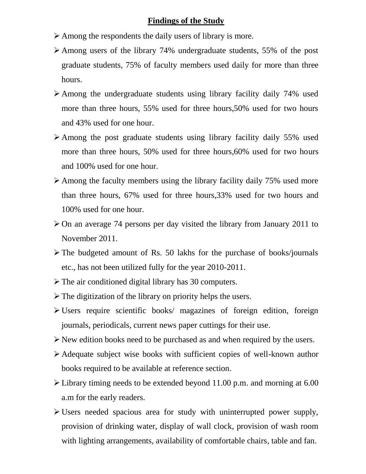#### **Findings of the Study**

- Among the respondents the daily users of library is more.
- Among users of the library 74% undergraduate students, 55% of the post graduate students, 75% of faculty members used daily for more than three hours.
- Among the undergraduate students using library facility daily 74% used more than three hours, 55% used for three hours,50% used for two hours and 43% used for one hour.
- Among the post graduate students using library facility daily 55% used more than three hours, 50% used for three hours,60% used for two hours and 100% used for one hour.
- $\geq$  Among the faculty members using the library facility daily 75% used more than three hours, 67% used for three hours,33% used for two hours and 100% used for one hour.
- $\geq$  On an average 74 persons per day visited the library from January 2011 to November 2011.
- $\triangleright$  The budgeted amount of Rs. 50 lakhs for the purchase of books/journals etc., has not been utilized fully for the year 2010-2011.
- $\triangleright$  The air conditioned digital library has 30 computers.
- $\triangleright$  The digitization of the library on priority helps the users.
- Users require scientific books/ magazines of foreign edition, foreign journals, periodicals, current news paper cuttings for their use.
- New edition books need to be purchased as and when required by the users.
- Adequate subject wise books with sufficient copies of well-known author books required to be available at reference section.
- Library timing needs to be extended beyond 11.00 p.m. and morning at 6.00 a.m for the early readers.
- $\triangleright$  Users needed spacious area for study with uninterrupted power supply, provision of drinking water, display of wall clock, provision of wash room with lighting arrangements, availability of comfortable chairs, table and fan.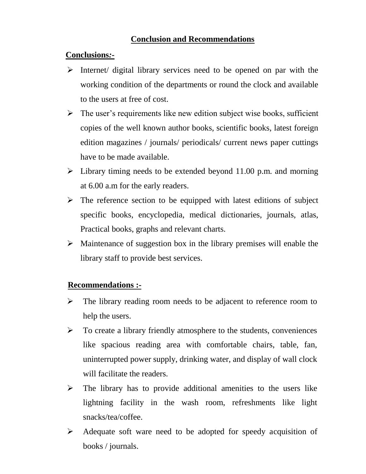## **Conclusion and Recommendations**

### **Conclusions***:-*

- $\triangleright$  Internet/ digital library services need to be opened on par with the working condition of the departments or round the clock and available to the users at free of cost.
- $\triangleright$  The user's requirements like new edition subject wise books, sufficient copies of the well known author books, scientific books, latest foreign edition magazines / journals/ periodicals/ current news paper cuttings have to be made available.
- $\triangleright$  Library timing needs to be extended beyond 11.00 p.m. and morning at 6.00 a.m for the early readers.
- $\triangleright$  The reference section to be equipped with latest editions of subject specific books, encyclopedia, medical dictionaries, journals, atlas, Practical books, graphs and relevant charts.
- $\triangleright$  Maintenance of suggestion box in the library premises will enable the library staff to provide best services.

# **Recommendations :-**

- $\triangleright$  The library reading room needs to be adjacent to reference room to help the users.
- $\triangleright$  To create a library friendly atmosphere to the students, conveniences like spacious reading area with comfortable chairs, table, fan, uninterrupted power supply, drinking water, and display of wall clock will facilitate the readers.
- $\triangleright$  The library has to provide additional amenities to the users like lightning facility in the wash room, refreshments like light snacks/tea/coffee.
- Adequate soft ware need to be adopted for speedy acquisition of books / journals.